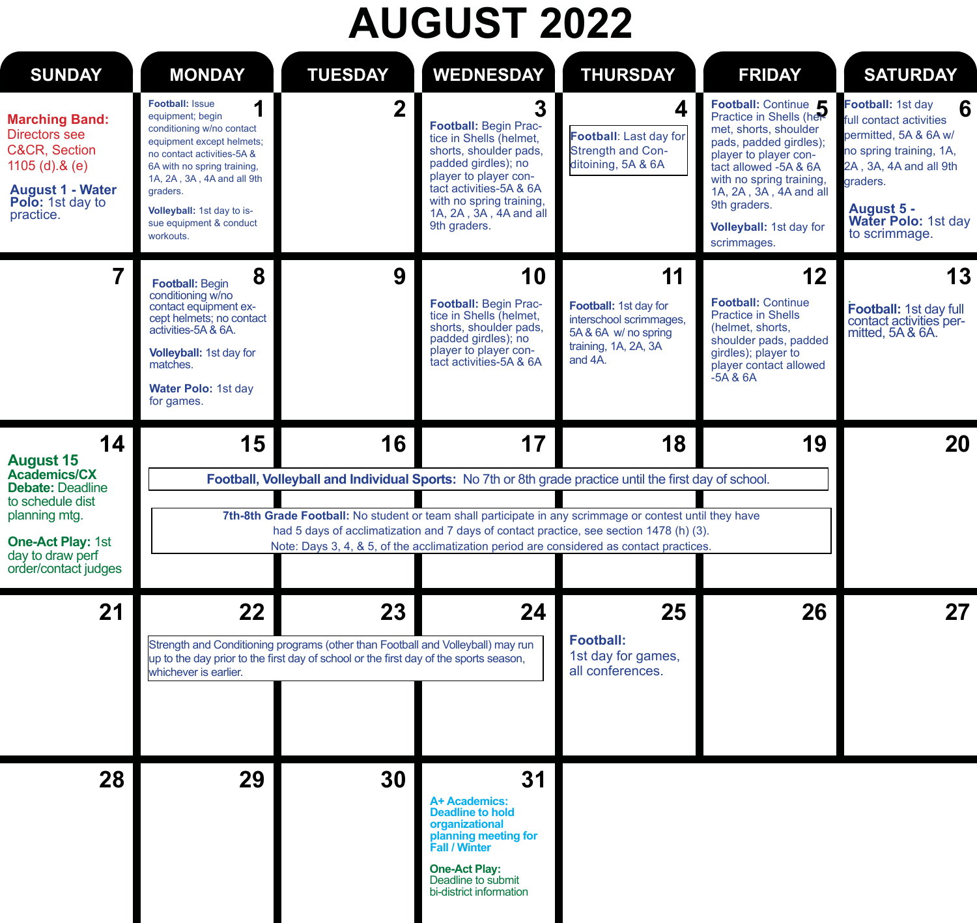# **AUGUST 2022**

| <b>SUNDAY</b>                                                                                                                                     | <b>MONDAY</b>                                                                                                                                                                                                                                                                          | <b>TUESDAY</b>                                                                                                                                                                 | <b>WEDNESDAY</b>                                                                                                                                                                                                                        | <b>THURSDAY</b>                                                                                                                                                                                     | <b>FRIDAY</b>                                                                                                                                                                                                                           | <b>SATURDAY</b>                                                                                                                                                                                   |
|---------------------------------------------------------------------------------------------------------------------------------------------------|----------------------------------------------------------------------------------------------------------------------------------------------------------------------------------------------------------------------------------------------------------------------------------------|--------------------------------------------------------------------------------------------------------------------------------------------------------------------------------|-----------------------------------------------------------------------------------------------------------------------------------------------------------------------------------------------------------------------------------------|-----------------------------------------------------------------------------------------------------------------------------------------------------------------------------------------------------|-----------------------------------------------------------------------------------------------------------------------------------------------------------------------------------------------------------------------------------------|---------------------------------------------------------------------------------------------------------------------------------------------------------------------------------------------------|
| <b>Marching Band:</b><br>Directors see<br><b>C&amp;CR, Section</b><br>1105 $(d).&(e)$<br><b>August 1 - Water</b><br>Polo: 1st day to<br>practice. | <b>Football: Issue</b><br>1<br>equipment; begin<br>conditioning w/no contact<br>equipment except helmets;<br>no contact activities-5A &<br>6A with no spring training,<br>1A, 2A, 3A, 4A and all 9th<br>graders.<br>Volleyball: 1st day to is-<br>sue equipment & conduct<br>workouts. | $\overline{2}$                                                                                                                                                                 | 3<br><b>Football: Begin Prac-</b><br>tice in Shells (helmet,<br>shorts, shoulder pads,<br>padded girdles); no<br>player to player con-<br>tact activities-5A & 6A<br>with no spring training,<br>1A, 2A, 3A, 4A and all<br>9th graders. | 4<br>Football: Last day for<br>Strength and Con-<br>ditoining, 5A & 6A                                                                                                                              | Football: Continue<br>met. shorts, shoulder<br>pads, padded girdles);<br>player to player con-<br>tact allowed -5A & 6A<br>with no spring training,<br>1A, 2A, 3A, 4A and all<br>9th graders.<br>Volleyball: 1st day for<br>scrimmages. | Football: 1st day<br>6<br>full contact activities<br>permitted, 5A & 6A w/<br>no spring training, 1A,<br>2A, 3A, 4A and all 9th<br>graders.<br>August 5 -<br>Water Polo: 1st day<br>to scrimmage. |
| $\overline{7}$                                                                                                                                    | 8<br><b>Football: Begin</b><br>conditioning w/no<br>contact equipment ex-<br>cept helmets; no contact<br>activities-5A & 6A.<br>Volleyball: 1st day for<br>matches.<br>Water Polo: 1st day<br>for games.                                                                               | 9                                                                                                                                                                              | 10<br>Football: Begin Prac-<br>tice in Shells (helmet,<br>shorts, shoulder pads,<br>padded girdles); no<br>player to player con-<br>tact activities-5A & 6A                                                                             | 11<br>Football: 1st day for<br>interschool scrimmages,<br>5A & 6A w/ no spring<br>training, 1A, 2A, 3A<br>and 4A.                                                                                   | 12<br><b>Football: Continue</b><br><b>Practice in Shells</b><br>(helmet, shorts,<br>shoulder pads, padded<br>girdles); player to<br>player contact allowed<br>$-5A$ & $6A$                                                              | 13<br>Football: 1st day full<br>contact activities per-<br>mitted, 5A & 6A.                                                                                                                       |
| 14<br><b>August 15</b>                                                                                                                            | 15                                                                                                                                                                                                                                                                                     | 16                                                                                                                                                                             | 17                                                                                                                                                                                                                                      | 18                                                                                                                                                                                                  | 19                                                                                                                                                                                                                                      | 20                                                                                                                                                                                                |
| Academics/CX<br><b>Debate: Deadline</b><br>to schedule dist                                                                                       |                                                                                                                                                                                                                                                                                        |                                                                                                                                                                                |                                                                                                                                                                                                                                         | Football, Volleyball and Individual Sports: No 7th or 8th grade practice until the first day of school.                                                                                             |                                                                                                                                                                                                                                         |                                                                                                                                                                                                   |
| planning mtg.                                                                                                                                     |                                                                                                                                                                                                                                                                                        |                                                                                                                                                                                |                                                                                                                                                                                                                                         | 7th-8th Grade Football: No student or team shall participate in any scrimmage or contest until they have<br>had 5 days of acclimatization and 7 days of contact practice, see section 1478 (h) (3). |                                                                                                                                                                                                                                         |                                                                                                                                                                                                   |
| One-Act Play: 1st<br>day to draw perf<br>order/contact judges                                                                                     |                                                                                                                                                                                                                                                                                        |                                                                                                                                                                                |                                                                                                                                                                                                                                         | Note: Days 3, 4, & 5, of the acclimatization period are considered as contact practices.                                                                                                            |                                                                                                                                                                                                                                         |                                                                                                                                                                                                   |
| 21                                                                                                                                                | 22<br>whichever is earlier.                                                                                                                                                                                                                                                            | 23<br>Strength and Conditioning programs (other than Football and Volleyball) may run<br>up to the day prior to the first day of school or the first day of the sports season, | 24                                                                                                                                                                                                                                      | 25<br>Football:<br>1st day for games,<br>all conferences.                                                                                                                                           | 26                                                                                                                                                                                                                                      | 27                                                                                                                                                                                                |
| 28                                                                                                                                                | 29                                                                                                                                                                                                                                                                                     | 30                                                                                                                                                                             | 31<br>A+ Academics:<br><b>Deadline to hold</b><br>organizational<br>planning meeting for<br><b>Fall / Winter</b><br>One-Act Play:<br>Deadline to submit<br>bi-district information                                                      |                                                                                                                                                                                                     |                                                                                                                                                                                                                                         |                                                                                                                                                                                                   |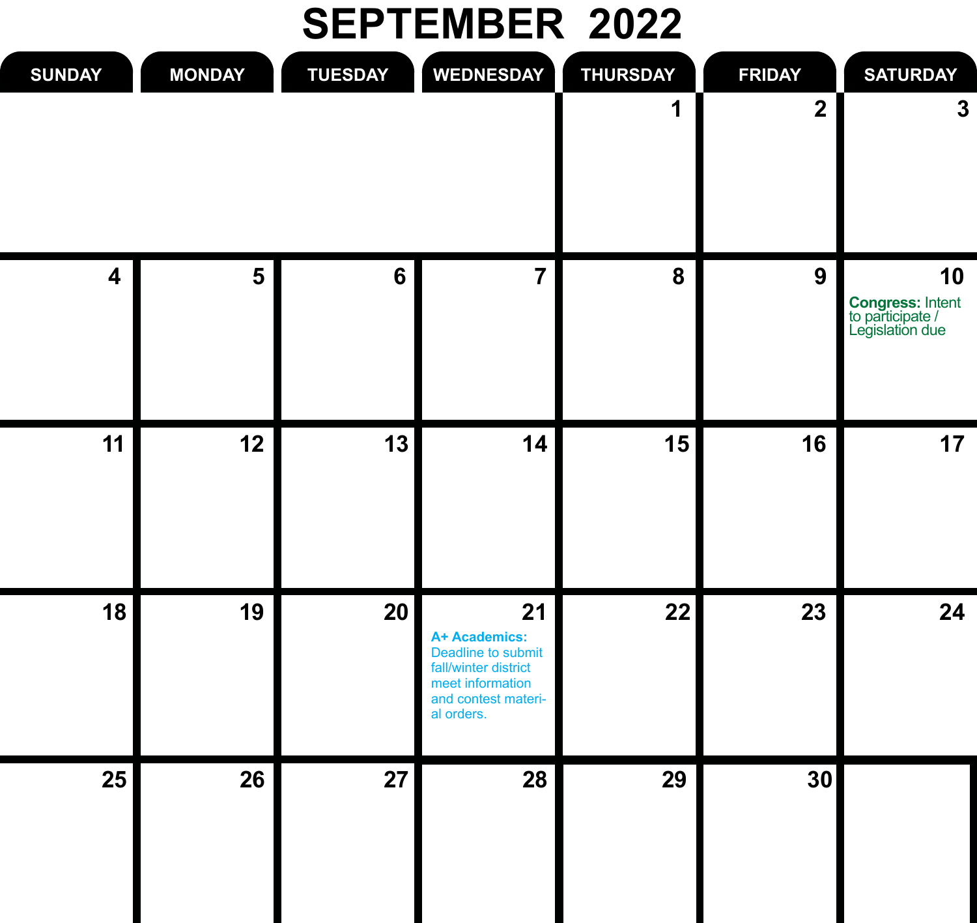#### **SEPTEMBER 2022**

| <b>SATURDAY</b>                                                      | <b>FRIDAY</b>           | <b>THURSDAY</b> | <b>WEDNESDAY</b>                                                                                                           | <b>TUESDAY</b> | <b>MONDAY</b> | <b>SUNDAY</b>           |
|----------------------------------------------------------------------|-------------------------|-----------------|----------------------------------------------------------------------------------------------------------------------------|----------------|---------------|-------------------------|
| 3                                                                    | $\overline{\mathbf{2}}$ |                 |                                                                                                                            |                |               |                         |
| 10<br><b>Congress:</b> Intent<br>to participate /<br>Legislation due | $\boldsymbol{9}$        | 8               | $\overline{7}$                                                                                                             | 6              | 5             | $\overline{\mathbf{4}}$ |
| 17                                                                   | 16                      | 15              | 14                                                                                                                         | 13             | 12            | 11                      |
| 24                                                                   | 23                      | 22              | 21<br>A+ Academics:<br>Deadline to submit<br>fall/winter district<br>meet information<br>and contest materi-<br>al orders. | 20             | 19            | 18                      |
|                                                                      | 30                      | 29              | 28                                                                                                                         | 27             | 26            | 25                      |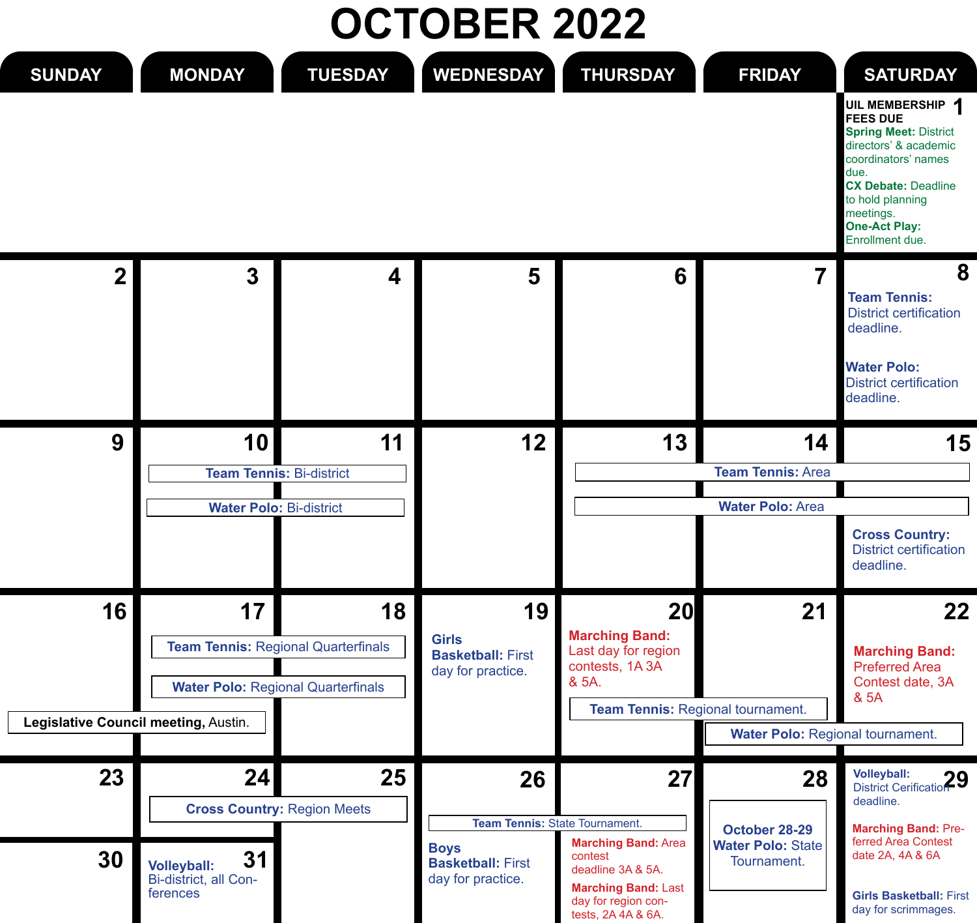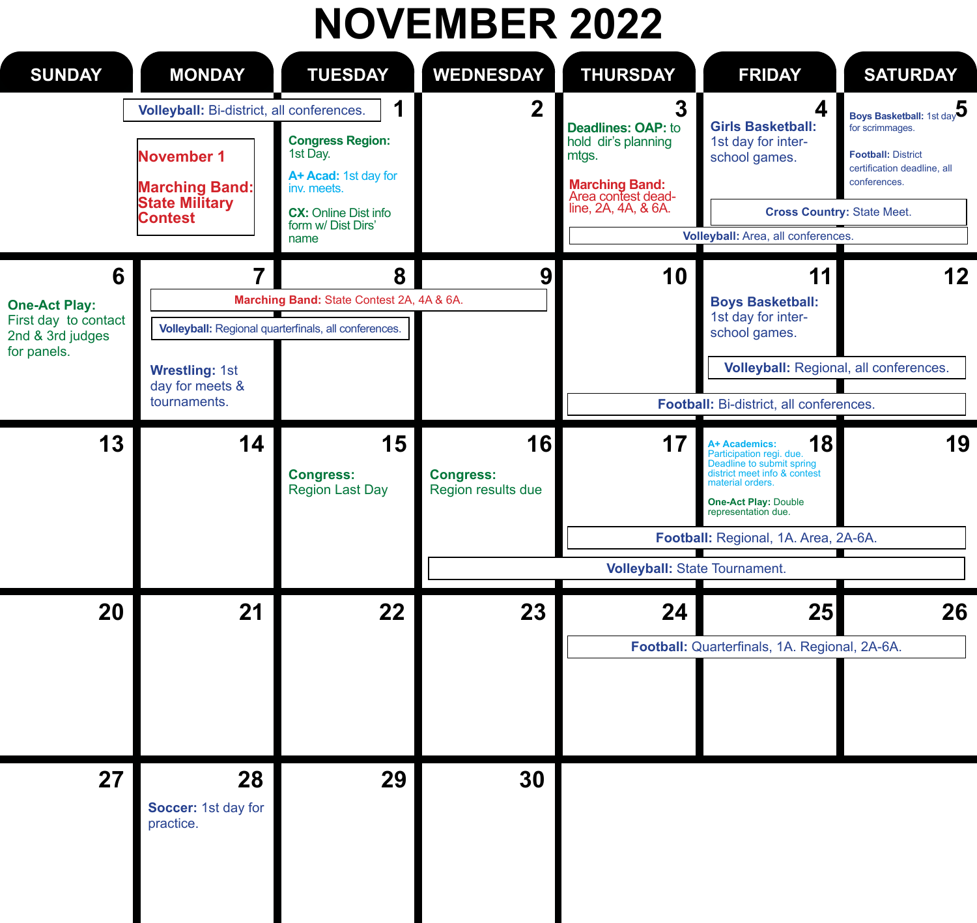# **NOVEMBER 2022**

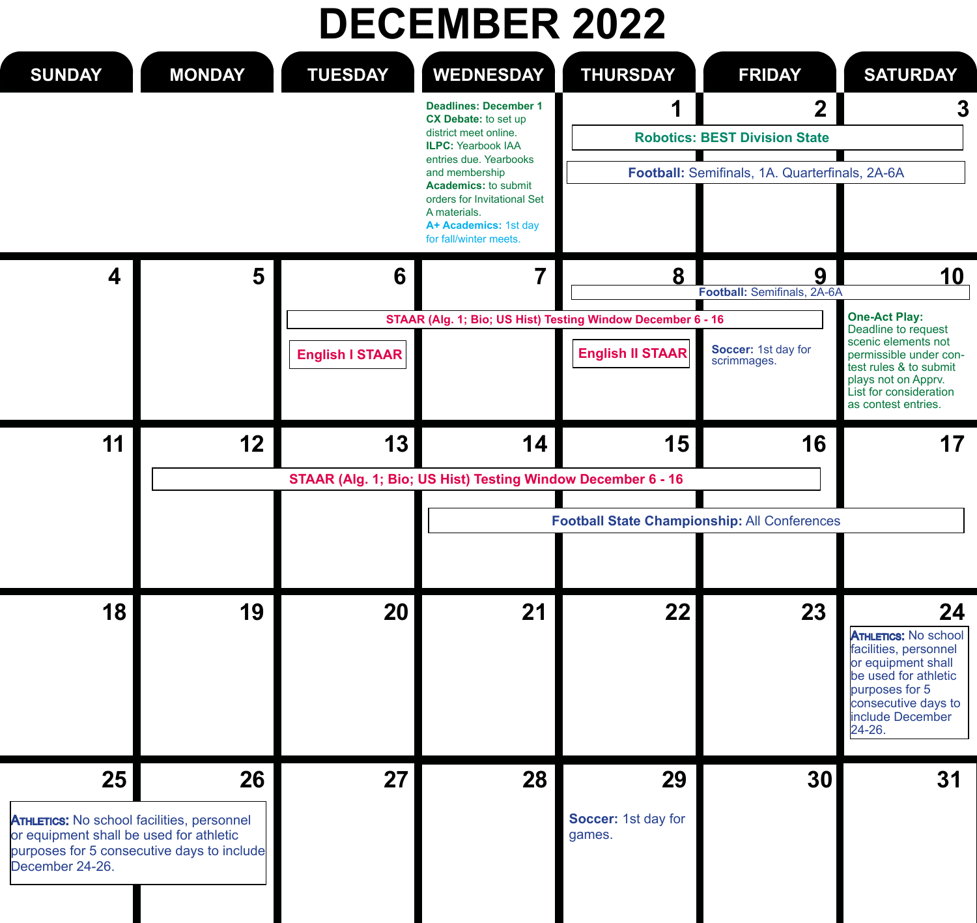# **DECEMBER 2022**

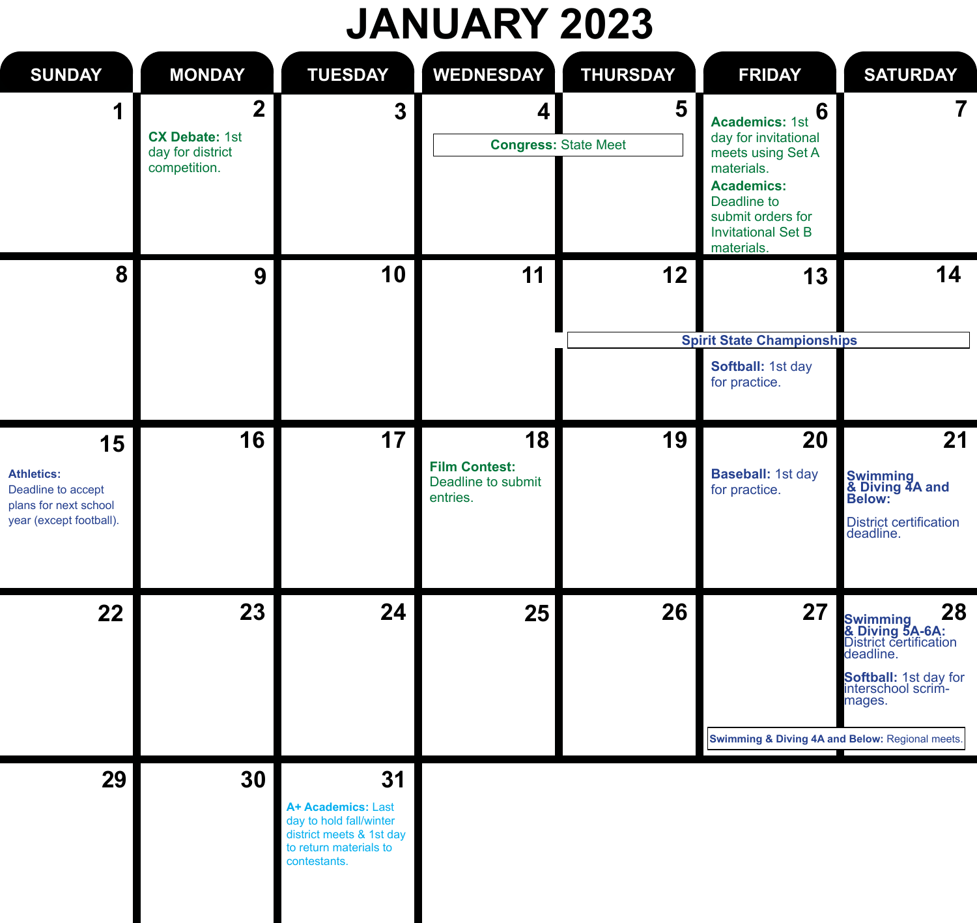# **JANUARY 2023**

| <b>SUNDAY</b>                                                                                     | <b>MONDAY</b>                                                               | <b>TUESDAY</b>                                                                                                            | <b>WEDNESDAY</b>                                             | <b>THURSDAY</b>                  | <b>FRIDAY</b>                                                                                                                                                                             | <b>SATURDAY</b>                                                                                                                                               |
|---------------------------------------------------------------------------------------------------|-----------------------------------------------------------------------------|---------------------------------------------------------------------------------------------------------------------------|--------------------------------------------------------------|----------------------------------|-------------------------------------------------------------------------------------------------------------------------------------------------------------------------------------------|---------------------------------------------------------------------------------------------------------------------------------------------------------------|
| 1                                                                                                 | $\overline{2}$<br><b>CX Debate: 1st</b><br>day for district<br>competition. | 3                                                                                                                         | $\vert$                                                      | 5<br><b>Congress: State Meet</b> | 6<br><b>Academics: 1st</b><br>day for invitational<br>meets using Set A<br>materials.<br><b>Academics:</b><br>Deadline to<br>submit orders for<br><b>Invitational Set B</b><br>materials. | $\overline{7}$                                                                                                                                                |
| 8                                                                                                 | 9                                                                           | 10                                                                                                                        | 11                                                           | 12                               | 13<br><b>Spirit State Championships</b><br>Softball: 1st day<br>for practice.                                                                                                             | 14                                                                                                                                                            |
| 15<br><b>Athletics:</b><br>Deadline to accept<br>plans for next school<br>year (except football). | 16                                                                          | 17                                                                                                                        | 18<br><b>Film Contest:</b><br>Deadline to submit<br>entries. | 19                               | 20<br>Baseball: 1st day<br>for practice.                                                                                                                                                  | 21<br>Swimming<br>& Diving 4A and<br>Below:<br><b>District certification</b><br>deadline.                                                                     |
| 22                                                                                                | 23                                                                          | 24                                                                                                                        | 25                                                           | 26                               | 27<br>Swimming & Diving 4A and Below: Regional meets.                                                                                                                                     | 28<br><b>Swimming 23</b><br><b>&amp; Diving 5A-6A:</b><br>District certification<br>deadline.<br><b>Softball:</b> 1st day for<br>interschool scrim-<br>mages. |
| 29                                                                                                | 30                                                                          | 31<br>A+ Academics: Last<br>day to hold fall/winter<br>district meets & 1st day<br>to return materials to<br>contestants. |                                                              |                                  |                                                                                                                                                                                           |                                                                                                                                                               |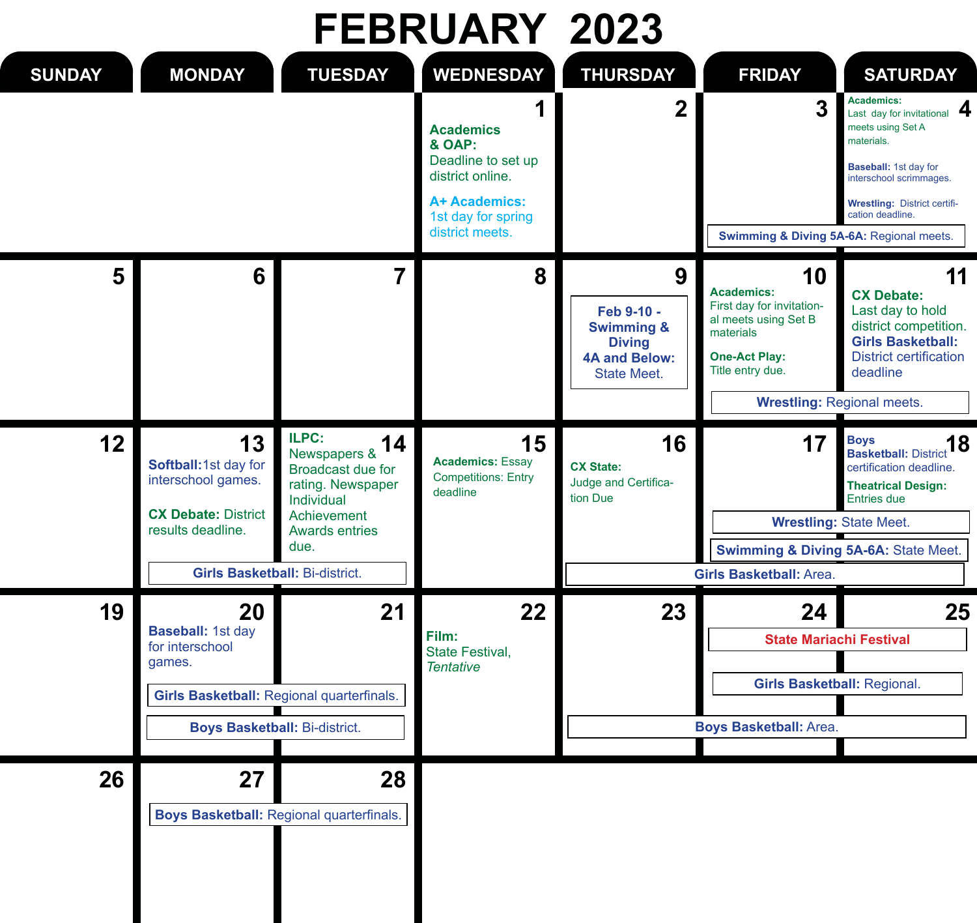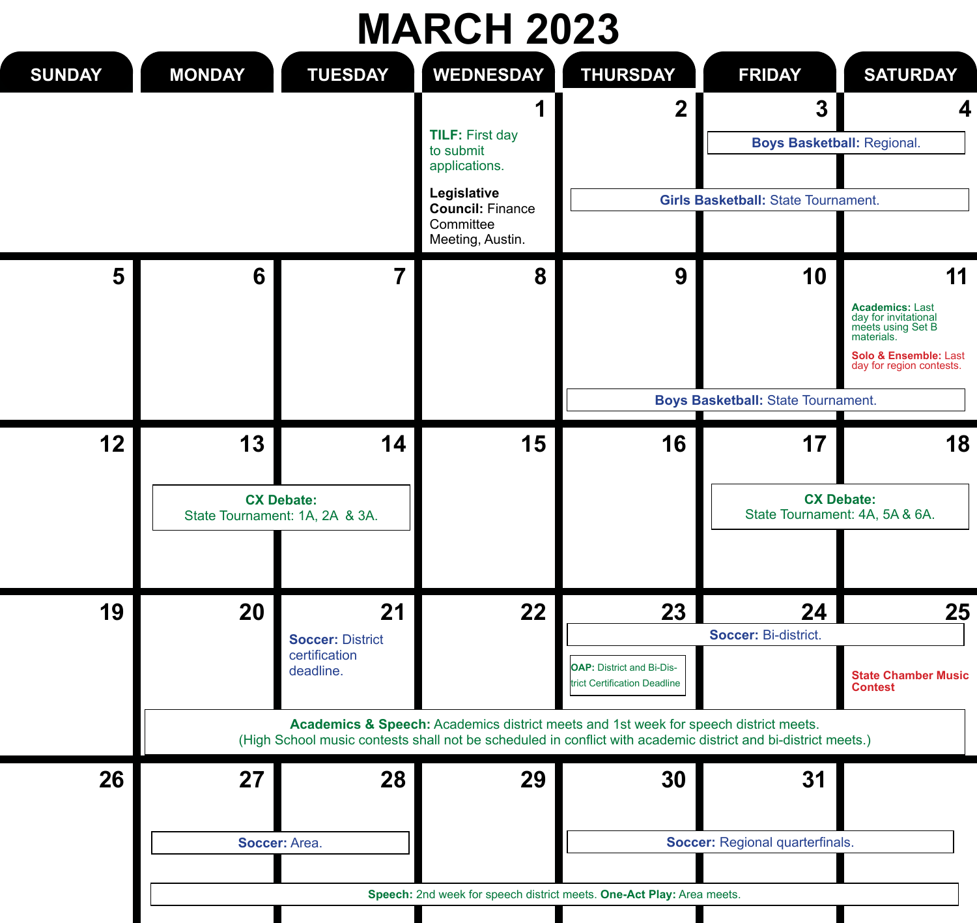# **MARCH 2023**

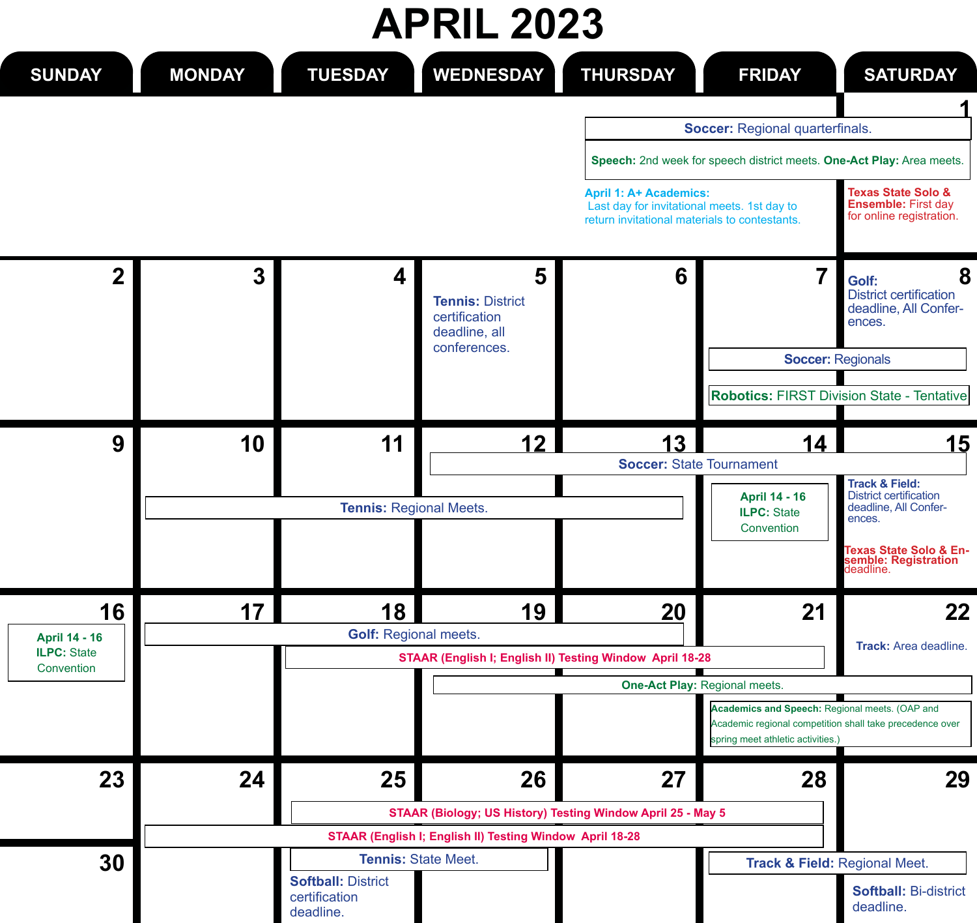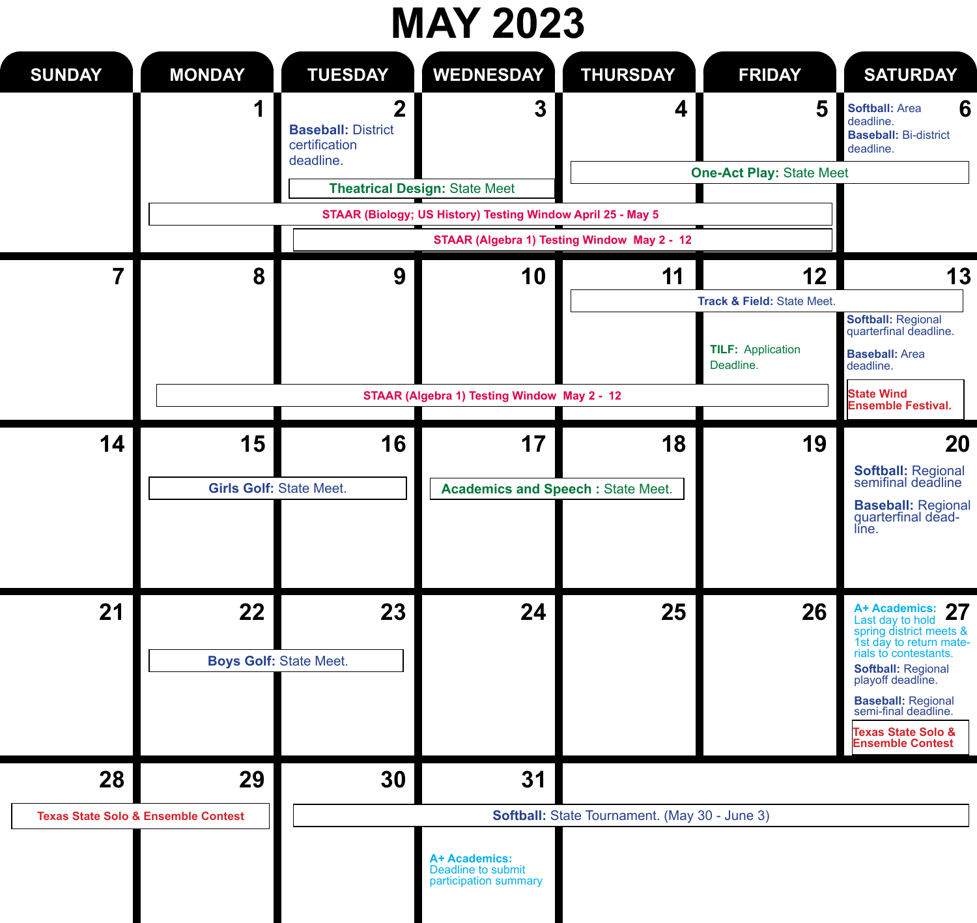#### **MAY 2023**

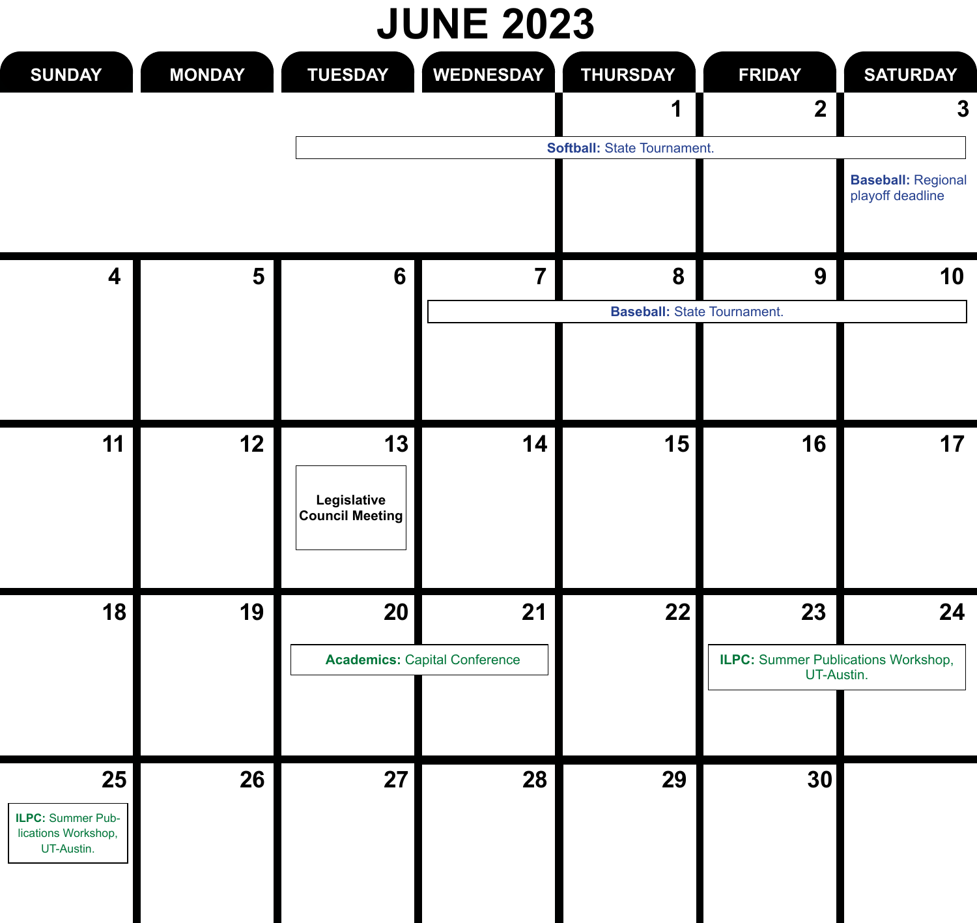#### **JUNE 2023**

| <b>SUNDAY</b>                                                | <b>MONDAY</b> | <b>TUESDAY</b>                       | <b>WEDNESDAY</b>                     | <b>THURSDAY</b>                    | <b>FRIDAY</b>                                            | <b>SATURDAY</b>                               |
|--------------------------------------------------------------|---------------|--------------------------------------|--------------------------------------|------------------------------------|----------------------------------------------------------|-----------------------------------------------|
|                                                              |               |                                      |                                      | 1                                  | $\overline{\mathbf{2}}$                                  | 3                                             |
|                                                              |               |                                      |                                      | Softball: State Tournament.        |                                                          |                                               |
|                                                              |               |                                      |                                      |                                    |                                                          | <b>Baseball: Regional</b><br>playoff deadline |
| $\overline{\mathbf{4}}$                                      | 5             | $6\phantom{1}$                       | $\overline{7}$                       | 8                                  | 9                                                        | 10                                            |
|                                                              |               |                                      |                                      | <b>Baseball:</b> State Tournament. |                                                          |                                               |
|                                                              |               |                                      |                                      |                                    |                                                          |                                               |
| 11                                                           | 12            | 13<br>Legislative<br>Council Meeting | 14                                   | 15                                 | 16                                                       | 17                                            |
| 18                                                           | 19            | 20                                   | 21                                   | 22                                 | 23                                                       | 24                                            |
|                                                              |               |                                      | <b>Academics: Capital Conference</b> |                                    | <b>ILPC:</b> Summer Publications Workshop,<br>UT-Austin. |                                               |
| 25<br>ILPC: Summer Pub-<br>lications Workshop,<br>UT-Austin. | 26            | 27                                   | 28                                   | 29                                 | 30                                                       |                                               |